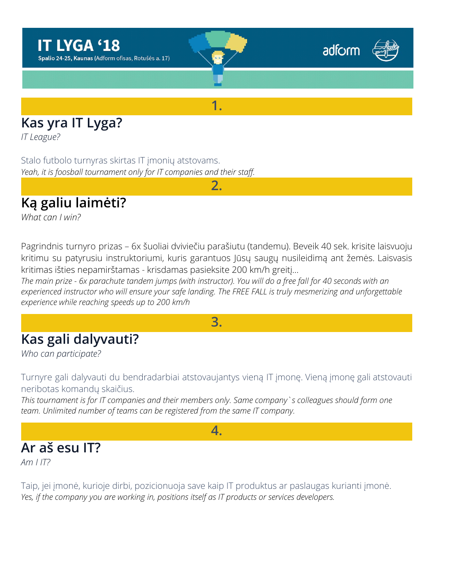

## **Kas yra IT Lyga?**

*IT League?*

Stalo futbolo turnyras skirtas IT įmonių atstovams. *Yeah, it is foosball tournament only for IT companies and their staff.*

# **Ką galiu laimėti?**

*What can I win?*

Pagrindnis turnyro prizas – 6x šuoliai dviviečiu parašiutu (tandemu). Beveik 40 sek. krisite laisvuoju kritimu su patyrusiu instruktoriumi, kuris garantuos Jūsų saugų nusileidimą ant žemės. Laisvasis kritimas išties nepamirštamas - krisdamas pasieksite 200 km/h greitį…

**2.**

The main prize - 6x parachute tandem jumps (with instructor). You will do a free fall for 40 seconds with an *experienced instructor who will ensure your safe landing. The FREE FALL is truly mesmerizing and unforgettable experience while reaching speeds up to 200 km/h*

**3.**

### **Kas gali dalyvauti?**

*Who can participate?*

Turnyre gali dalyvauti du bendradarbiai atstovaujantys vieną IT įmonę. Vieną įmonę gali atstovauti neribotas komandų skaičius.

*This tournament is for IT companies and their members only. Same company`s colleagues should form one team. Unlimited number of teams can be registered from the same IT company.*

#### **4.**

### **Ar aš esu IT?**

*Am I IT?*

Taip, jei įmonė, kurioje dirbi, pozicionuoja save kaip IT produktus ar paslaugas kurianti įmonė. *Yes, if the company you are working in, positions itself as IT products or services developers.*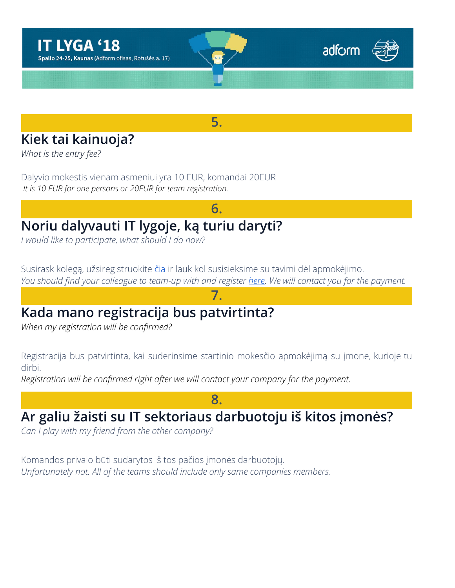





**5.**

# **Kiek tai kainuoja?**

*What is the entry fee?*

Dalyvio mokestis vienam asmeniui yra 10 EUR, komandai 20EUR *It is 10 EUR for one persons or 20EUR for team registration.*

# **Noriu dalyvauti IT lygoje, ką turiu daryti?**

*I would like to participate, what should I do now?*

Susirask kolegą, užsiregistruokite [čia](http://foosin.lt/naujienos/26233/) ir lauk kol susisieksime su tavimi dėl apmokėjimo. You should find your colleague to team-up with and register *here*. We will contact you for the payment.

**7.**

**6.**

# **Kada mano registracija bus patvirtinta?**

*When my registration will be confirmed?*

Registracija bus patvirtinta, kai suderinsime startinio mokesčio apmokėjimą su įmone, kurioje tu dirbi.

**8.**

*Registration will be confirmed right after we will contact your company for the payment.*

### **Ar galiu žaisti su IT sektoriaus darbuotoju iš kitos įmonės?**

*Can I play with my friend from the other company?*

Komandos privalo būti sudarytos iš tos pačios įmonės darbuotojų. *Unfortunately not. All of the teams should include only same companies members.*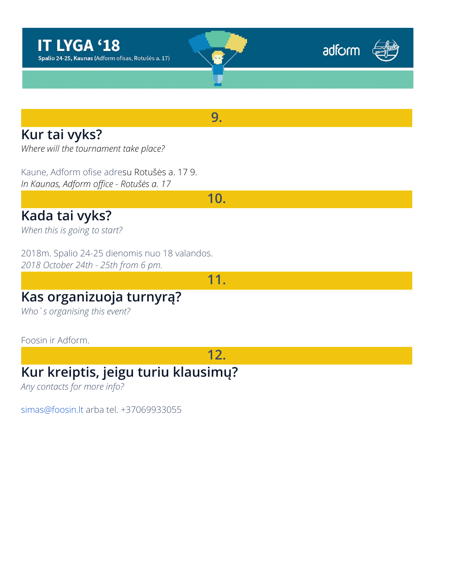





**9.**

### **Kur tai vyks?**

*Where will the tournament take place?*

Kaune, Adform ofise adresu Rotušės a. 17 9. *In Kaunas, Adform office - Rotušės a. 17*

**10.**

#### **Kada tai vyks?**

*When this is going to start?*

2018m. Spalio 24-25 dienomis nuo 18 valandos. *2018 October 24th - 25th from 6 pm.*

**11.**

#### **Kas organizuoja turnyrą?**

*Who`s organising this event?*

#### Foosin ir Adform.

**12.**

#### **Kur kreiptis, jeigu turiu klausimų?**

*Any contacts for more info?*

[simas@foosin.lt](mailto:simas@foosin.lt) arba tel. +37069933055